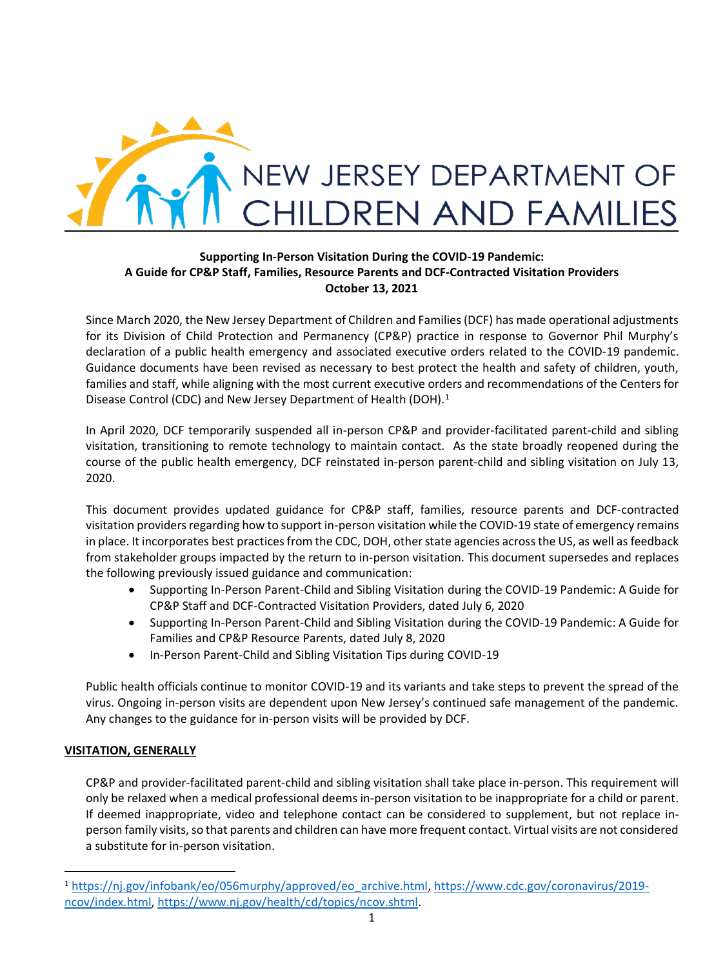

## **Supporting In-Person Visitation During the COVID-19 Pandemic: A Guide for CP&P Staff, Families, Resource Parents and DCF-Contracted Visitation Providers October 13, 2021**

Since March 2020, the New Jersey Department of Children and Families (DCF) has made operational adjustments for its Division of Child Protection and Permanency (CP&P) practice in response to Governor Phil Murphy's declaration of a public health emergency and associated executive orders related to the COVID-19 pandemic. Guidance documents have been revised as necessary to best protect the health and safety of children, youth, families and staff, while aligning with the most current executive orders and recommendations of the Centers for Disease Control (CDC) and New Jersey Department of Health (DOH).<sup>1</sup>

In April 2020, DCF temporarily suspended all in-person CP&P and provider-facilitated parent-child and sibling visitation, transitioning to remote technology to maintain contact. As the state broadly reopened during the course of the public health emergency, DCF reinstated in-person parent-child and sibling visitation on July 13, 2020.

This document provides updated guidance for CP&P staff, families, resource parents and DCF-contracted visitation providers regarding how to support in-person visitation while the COVID-19 state of emergency remains in place. It incorporates best practices from the CDC, DOH, other state agencies across the US, as well as feedback from stakeholder groups impacted by the return to in-person visitation. This document supersedes and replaces the following previously issued guidance and communication:

- Supporting In-Person Parent-Child and Sibling Visitation during the COVID-19 Pandemic: A Guide for CP&P Staff and DCF-Contracted Visitation Providers, dated July 6, 2020
- Supporting In-Person Parent-Child and Sibling Visitation during the COVID-19 Pandemic: A Guide for Families and CP&P Resource Parents, dated July 8, 2020
- In-Person Parent-Child and Sibling Visitation Tips during COVID-19

Public health officials continue to monitor COVID-19 and its variants and take steps to prevent the spread of the virus. Ongoing in-person visits are dependent upon New Jersey's continued safe management of the pandemic. Any changes to the guidance for in-person visits will be provided by DCF.

# **VISITATION, GENERALLY**

CP&P and provider-facilitated parent-child and sibling visitation shall take place in-person. This requirement will only be relaxed when a medical professional deems in-person visitation to be inappropriate for a child or parent. If deemed inappropriate, video and telephone contact can be considered to supplement, but not replace inperson family visits, so that parents and children can have more frequent contact. Virtual visits are not considered a substitute for in-person visitation.

<sup>1</sup> [https://nj.gov/infobank/eo/056murphy/approved/eo\\_archive.html,](https://nj.gov/infobank/eo/056murphy/approved/eo_archive.html) [https://www.cdc.gov/coronavirus/2019](https://www.cdc.gov/coronavirus/2019-ncov/index.html) [ncov/index.html,](https://www.cdc.gov/coronavirus/2019-ncov/index.html) [https://www.nj.gov/health/cd/topics/ncov.shtml.](https://www.nj.gov/health/cd/topics/ncov.shtml)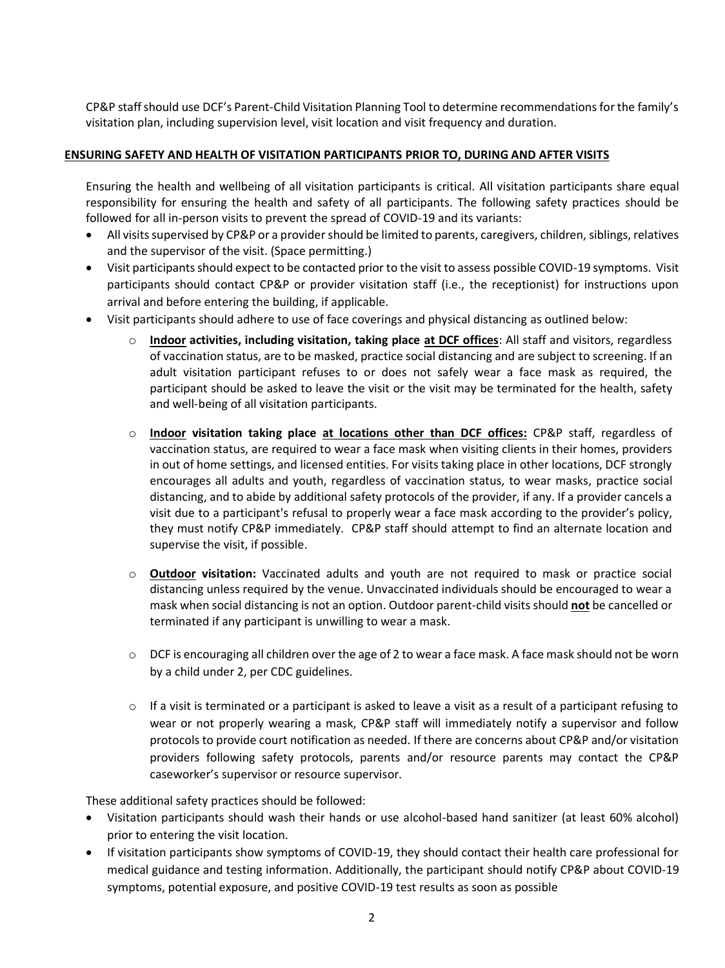CP&P staffshould use DCF's Parent-Child Visitation Planning Tool to determine recommendations for the family's visitation plan, including supervision level, visit location and visit frequency and duration.

### **ENSURING SAFETY AND HEALTH OF VISITATION PARTICIPANTS PRIOR TO, DURING AND AFTER VISITS**

Ensuring the health and wellbeing of all visitation participants is critical. All visitation participants share equal responsibility for ensuring the health and safety of all participants. The following safety practices should be followed for all in-person visits to prevent the spread of COVID-19 and its variants:

- All visits supervised by CP&P or a provider should be limited to parents, caregivers, children, siblings, relatives and the supervisor of the visit. (Space permitting.)
- Visit participants should expect to be contacted prior to the visit to assess possible COVID-19 symptoms. Visit participants should contact CP&P or provider visitation staff (i.e., the receptionist) for instructions upon arrival and before entering the building, if applicable.
- Visit participants should adhere to use of face coverings and physical distancing as outlined below:
	- o **Indoor activities, including visitation, taking place at DCF offices**: All staff and visitors, regardless of vaccination status, are to be masked, practice social distancing and are subject to screening. If an adult visitation participant refuses to or does not safely wear a face mask as required, the participant should be asked to leave the visit or the visit may be terminated for the health, safety and well-being of all visitation participants.
	- o **Indoor visitation taking place at locations other than DCF offices:** CP&P staff, regardless of vaccination status, are required to wear a face mask when visiting clients in their homes, providers in out of home settings, and licensed entities. For visits taking place in other locations, DCF strongly encourages all adults and youth, regardless of vaccination status, to wear masks, practice social distancing, and to abide by additional safety protocols of the provider, if any. If a provider cancels a visit due to a participant's refusal to properly wear a face mask according to the provider's policy, they must notify CP&P immediately. CP&P staff should attempt to find an alternate location and supervise the visit, if possible.
	- o **Outdoor visitation:** Vaccinated adults and youth are not required to mask or practice social distancing unless required by the venue. Unvaccinated individuals should be encouraged to wear a mask when social distancing is not an option. Outdoor parent-child visits should **not** be cancelled or terminated if any participant is unwilling to wear a mask.
	- $\circ$  DCF is encouraging all children over the age of 2 to wear a face mask. A face mask should not be worn by a child under 2, per CDC guidelines.
	- $\circ$  If a visit is terminated or a participant is asked to leave a visit as a result of a participant refusing to wear or not properly wearing a mask, CP&P staff will immediately notify a supervisor and follow protocols to provide court notification as needed. If there are concerns about CP&P and/or visitation providers following safety protocols, parents and/or resource parents may contact the CP&P caseworker's supervisor or resource supervisor.

These additional safety practices should be followed:

- Visitation participants should wash their hands or use alcohol-based hand sanitizer (at least 60% alcohol) prior to entering the visit location.
- If visitation participants show symptoms of COVID-19, they should contact their health care professional for medical guidance and testing information. Additionally, the participant should notify CP&P about COVID-19 symptoms, potential exposure, and positive COVID-19 test results as soon as possible